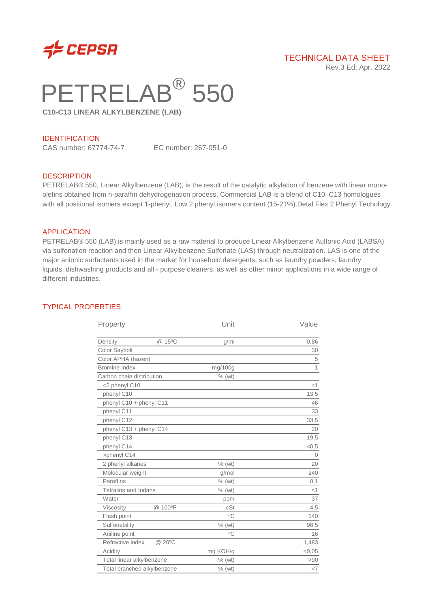

# TECHNICAL DATA SHEET

Rev.3 Ed: Apr. 2022

# PETRELAB<sup>®</sup> 550

**C10-C13 LINEAR ALKYLBENZENE (LAB)**

#### IDENTIFICATION

CAS number: 67774-74-7 EC number: 267-051-0

#### **DESCRIPTION**

PETRELAB® 550, Linear Alkylbenzene (LAB), is the result of the catalytic alkylation of benzene with linear monoolefins obtained from n-paraffin dehydrogenation process. Commercial LAB is a blend of C10–C13 homologues with all positional isomers except 1-phenyl. Low 2 phenyl isomers content (15-21%).Detal Flex 2 Phenyl Techology.

#### APPLICATION

PETRELAB® 550 (LAB) is mainly used as a raw material to produce Linear Alkylbenzene Aulfonic Acid (LABSA) via sulfonation reaction and then Linear Alkylbenzene Sulfonate (LAS) through neutralization. LAS is one of the major anionic surfactants used in the market for household detergents, such as laundry powders, laundry liquids, dishwashing products and all - purpose cleaners, as well as other minor applications in a wide range of different industries.

#### TYPICAL PROPERTIES

| @ 15°C<br>Density<br>g/ml<br>Color Saybolt<br>Color APHA (hazen)<br><b>Bromine Index</b><br>mg/100g<br>Carbon chain distribution<br>$%$ (wt)<br><5 phenyl C10<br>phenyl C10<br>phenyl C10 + phenyl C11<br>phenyl C11<br>phenyl C12<br>phenyl C13 + phenyl C14<br>phenyl C13<br>phenyl C14<br>>phenyl C14<br>2 phenyl alkanes<br>$%$ (wt)<br>Molecular weight<br>q/mol<br>Paraffins<br>$%$ (wt)<br>Tetralins and Indans<br>$%$ (wt)<br>Water<br>ppm<br>@ 100°F<br>Viscosity<br>cSt<br>$^{\circ}$ C<br>Flash point<br>Sulfonability<br>$%$ (wt)<br>$\circ$ C<br>Aniline point<br>Refractive index<br>@ 20°C<br>mg KOH/g<br>Acidity<br>Total linear alkylbenzene<br>$%$ (wt)<br>Total branched alkylbenzene<br>$%$ (wt) | Property |  | Unit | Value  |
|----------------------------------------------------------------------------------------------------------------------------------------------------------------------------------------------------------------------------------------------------------------------------------------------------------------------------------------------------------------------------------------------------------------------------------------------------------------------------------------------------------------------------------------------------------------------------------------------------------------------------------------------------------------------------------------------------------------------|----------|--|------|--------|
|                                                                                                                                                                                                                                                                                                                                                                                                                                                                                                                                                                                                                                                                                                                      |          |  |      | 0,86   |
|                                                                                                                                                                                                                                                                                                                                                                                                                                                                                                                                                                                                                                                                                                                      |          |  |      | 30     |
|                                                                                                                                                                                                                                                                                                                                                                                                                                                                                                                                                                                                                                                                                                                      |          |  |      | 5      |
|                                                                                                                                                                                                                                                                                                                                                                                                                                                                                                                                                                                                                                                                                                                      |          |  |      | 1      |
|                                                                                                                                                                                                                                                                                                                                                                                                                                                                                                                                                                                                                                                                                                                      |          |  |      |        |
|                                                                                                                                                                                                                                                                                                                                                                                                                                                                                                                                                                                                                                                                                                                      |          |  |      | $<$ 1  |
|                                                                                                                                                                                                                                                                                                                                                                                                                                                                                                                                                                                                                                                                                                                      |          |  |      | 13,5   |
|                                                                                                                                                                                                                                                                                                                                                                                                                                                                                                                                                                                                                                                                                                                      |          |  |      | 46     |
|                                                                                                                                                                                                                                                                                                                                                                                                                                                                                                                                                                                                                                                                                                                      |          |  |      | 33     |
|                                                                                                                                                                                                                                                                                                                                                                                                                                                                                                                                                                                                                                                                                                                      |          |  |      | 33,5   |
|                                                                                                                                                                                                                                                                                                                                                                                                                                                                                                                                                                                                                                                                                                                      |          |  |      | 20     |
|                                                                                                                                                                                                                                                                                                                                                                                                                                                                                                                                                                                                                                                                                                                      |          |  |      | 19,5   |
|                                                                                                                                                                                                                                                                                                                                                                                                                                                                                                                                                                                                                                                                                                                      |          |  |      | < 0, 5 |
|                                                                                                                                                                                                                                                                                                                                                                                                                                                                                                                                                                                                                                                                                                                      |          |  |      | $\cap$ |
|                                                                                                                                                                                                                                                                                                                                                                                                                                                                                                                                                                                                                                                                                                                      |          |  |      | 20     |
|                                                                                                                                                                                                                                                                                                                                                                                                                                                                                                                                                                                                                                                                                                                      |          |  |      | 240    |
|                                                                                                                                                                                                                                                                                                                                                                                                                                                                                                                                                                                                                                                                                                                      |          |  |      | 0,1    |
|                                                                                                                                                                                                                                                                                                                                                                                                                                                                                                                                                                                                                                                                                                                      |          |  |      | <1     |
|                                                                                                                                                                                                                                                                                                                                                                                                                                                                                                                                                                                                                                                                                                                      |          |  |      | 37     |
|                                                                                                                                                                                                                                                                                                                                                                                                                                                                                                                                                                                                                                                                                                                      |          |  |      | 4,5    |
|                                                                                                                                                                                                                                                                                                                                                                                                                                                                                                                                                                                                                                                                                                                      |          |  |      | 140    |
|                                                                                                                                                                                                                                                                                                                                                                                                                                                                                                                                                                                                                                                                                                                      |          |  |      | 98,5   |
|                                                                                                                                                                                                                                                                                                                                                                                                                                                                                                                                                                                                                                                                                                                      |          |  |      | 16     |
|                                                                                                                                                                                                                                                                                                                                                                                                                                                                                                                                                                                                                                                                                                                      |          |  |      | 1,483  |
|                                                                                                                                                                                                                                                                                                                                                                                                                                                                                                                                                                                                                                                                                                                      |          |  |      | < 0,05 |
|                                                                                                                                                                                                                                                                                                                                                                                                                                                                                                                                                                                                                                                                                                                      |          |  |      | >90    |
|                                                                                                                                                                                                                                                                                                                                                                                                                                                                                                                                                                                                                                                                                                                      |          |  |      | $<$ 7  |